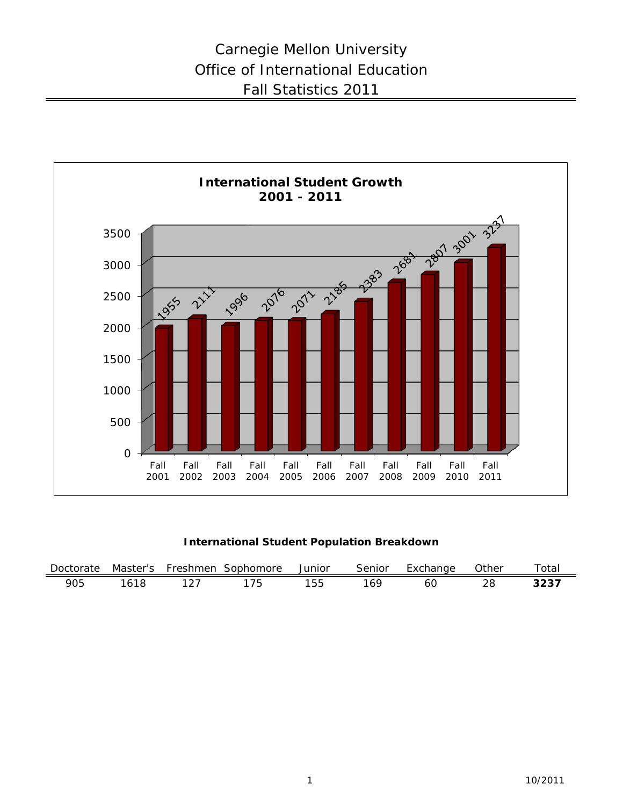

**International Student Population Breakdown**

| Doctorate | Master's | Freshmen | Sophomore | Junior    | Senior | Exchange | <b>Other</b> | $\tau$ otal |
|-----------|----------|----------|-----------|-----------|--------|----------|--------------|-------------|
| 905       |          |          | フト        | トト<br>ت ت | 169    | 60       |              | <b>3231</b> |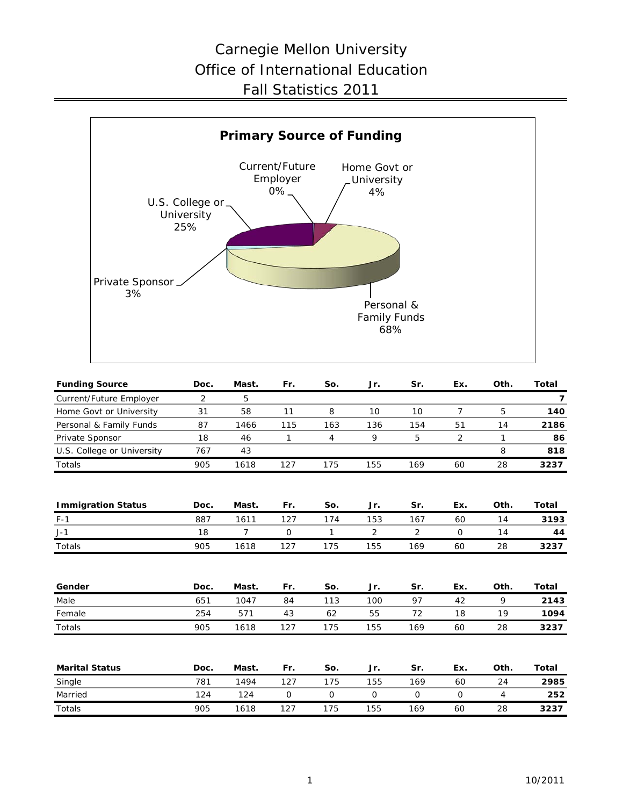# Carnegie Mellon University Office of International Education Fall Statistics 2011



| <b>Funding Source</b>      | Doc. | Mast.          | Fr.          | So.         | Jr.            | Sr.            | Ex.            | Oth.           | <b>Total</b>   |
|----------------------------|------|----------------|--------------|-------------|----------------|----------------|----------------|----------------|----------------|
| Current/Future Employer    | 2    | 5              |              |             |                |                |                |                | $\overline{7}$ |
| Home Govt or University    | 31   | 58             | 11           | 8           | 10             | 10             | 7              | 5              | 140            |
| Personal & Family Funds    | 87   | 1466           | 115          | 163         | 136            | 154            | 51             | 14             | 2186           |
| Private Sponsor            | 18   | 46             | 1            | 4           | 9              | 5              | $\overline{2}$ | $\mathbf{1}$   | 86             |
| U.S. College or University | 767  | 43             |              |             |                |                |                | 8              | 818            |
| Totals                     | 905  | 1618           | 127          | 175         | 155            | 169            | 60             | 28             | 3237           |
| <b>Immigration Status</b>  | Doc. | Mast.          | Fr.          | So.         | Jr.            | Sr.            | Ex.            | Oth.           | Total          |
| $F-1$                      | 887  | 1611           | 127          | 174         | 153            | 167            | 60             | 14             | 3193           |
| $J-1$                      | 18   | $\overline{7}$ | $\mathsf{O}$ | 1           | $\overline{2}$ | $\overline{2}$ | $\mathsf{O}$   | 14             | 44             |
| Totals                     | 905  | 1618           | 127          | 175         | 155            | 169            | 60             | 28             | 3237           |
| Gender                     | Doc. | Mast.          | Fr.          | So.         | Jr.            | Sr.            | Ex.            | Oth.           | Total          |
| Male                       | 651  | 1047           | 84           | 113         | 100            | 97             | 42             | 9              | 2143           |
| Female                     | 254  | 571            | 43           | 62          | 55             | 72             | 18             | 19             | 1094           |
| Totals                     | 905  | 1618           | 127          | 175         | 155            | 169            | 60             | 28             | 3237           |
| <b>Marital Status</b>      | Doc. | Mast.          | Fr.          | So.         | Jr.            | Sr.            | Ex.            | Oth.           | Total          |
| Single                     | 781  | 1494           | 127          | 175         | 155            | 169            | 60             | 24             | 2985           |
| Married                    | 124  | 124            | $\mathsf{O}$ | $\mathbf 0$ | $\mathbf 0$    | $\mathbf 0$    | $\mathbf 0$    | $\overline{4}$ | 252            |
| Totals                     | 905  | 1618           | 127          | 175         | 155            | 169            | 60             | 28             | 3237           |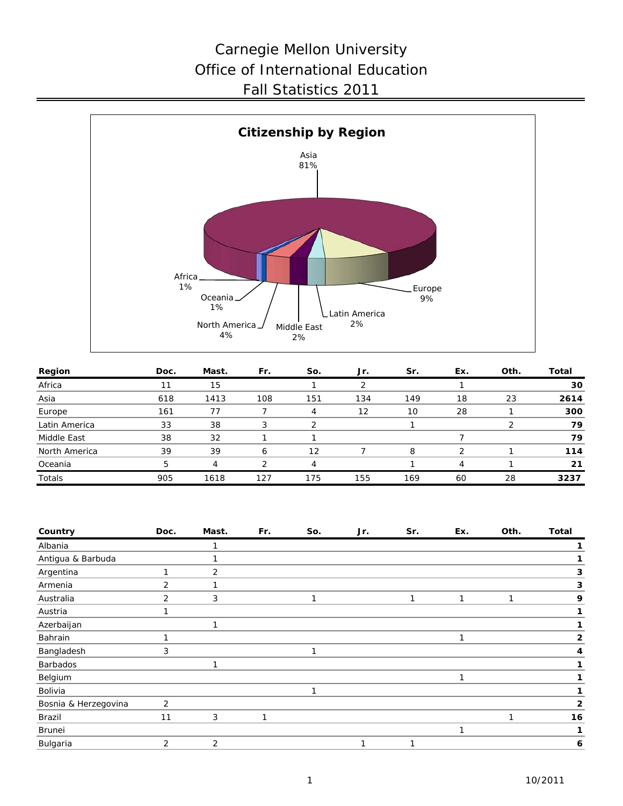# Carnegie Mellon University Office of International Education Fall Statistics 2011



| Region        | Doc. | Mast. | Fr. | So. | Jr. | Sr. | Ex. | Oth. | Total |
|---------------|------|-------|-----|-----|-----|-----|-----|------|-------|
| Africa        | 11   | 15    |     |     |     |     |     |      | 30    |
| Asia          | 618  | 1413  | 108 | 151 | 134 | 149 | 18  | 23   | 2614  |
| Europe        | 161  | 77    |     | 4   | 12  | 10  | 28  |      | 300   |
| Latin America | 33   | 38    |     |     |     |     |     |      | 79    |
| Middle East   | 38   | 32    |     |     |     |     |     |      | 79    |
| North America | 39   | 39    | 6   | 12  |     | 8   |     |      | 114   |
| Oceania       | 5    | 4     |     |     |     |     | 4   |      | 21    |
| Totals        | 905  | 1618  | 127 | 175 | 155 | 169 | 60  | 28   | 3237  |

| Country              | Doc.           | Mast. | Fr. | So. | Jr. | Sr. | Ex. | Oth. | <b>Total</b> |
|----------------------|----------------|-------|-----|-----|-----|-----|-----|------|--------------|
| Albania              |                |       |     |     |     |     |     |      |              |
| Antigua & Barbuda    |                |       |     |     |     |     |     |      |              |
| Argentina            | 1              | 2     |     |     |     |     |     |      | 3            |
| Armenia              | 2              |       |     |     |     |     |     |      | 3            |
| Australia            | 2              | 3     |     | 1   |     | 1   |     | 1    | 9            |
| Austria              |                |       |     |     |     |     |     |      |              |
| Azerbaijan           |                |       |     |     |     |     |     |      |              |
| Bahrain              |                |       |     |     |     |     | 1   |      | 2            |
| Bangladesh           | 3              |       |     | 1   |     |     |     |      | 4            |
| Barbados             |                |       |     |     |     |     |     |      |              |
| Belgium              |                |       |     |     |     |     | 1   |      |              |
| Bolivia              |                |       |     | 1   |     |     |     |      |              |
| Bosnia & Herzegovina | $\overline{2}$ |       |     |     |     |     |     |      | $\mathbf{2}$ |
| Brazil               | 11             | 3     | 1   |     |     |     |     | 1    | 16           |
| Brunei               |                |       |     |     |     |     | 1   |      |              |
| Bulgaria             | 2              | 2     |     |     | и   |     |     |      | 6            |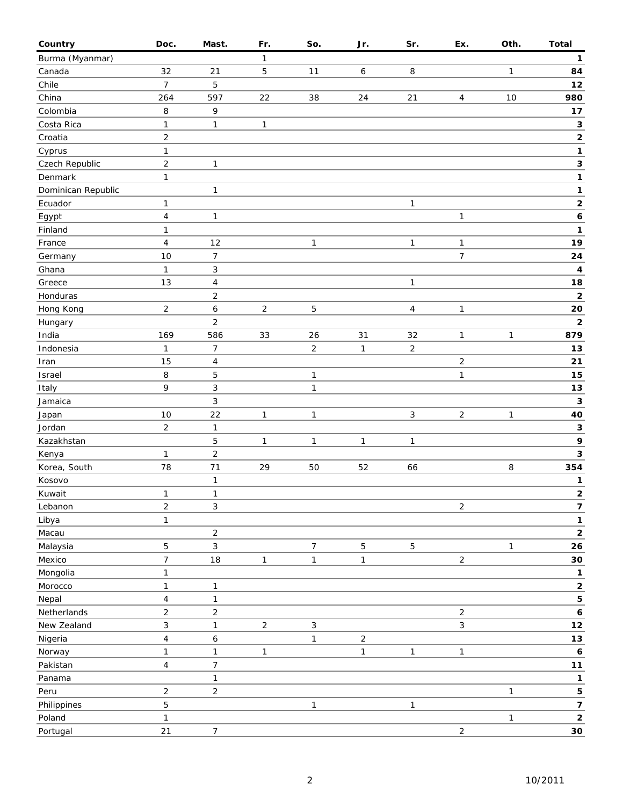| Country              | Doc.                | Mast.                          | Fr.            | So.            | Jr.          | Sr.            | Ex.            | Oth.         | <b>Total</b>            |
|----------------------|---------------------|--------------------------------|----------------|----------------|--------------|----------------|----------------|--------------|-------------------------|
| Burma (Myanmar)      |                     |                                | 1              |                |              |                |                |              | $\mathbf{1}$            |
| Canada               | 32                  | 21                             | 5              | 11             | 6            | 8              |                | 1            | 84                      |
| Chile                | $\overline{7}$      | 5                              |                |                |              |                |                |              | 12                      |
| China                | 264                 | 597                            | 22             | 38             | 24           | 21             | 4              | 10           | 980                     |
| Colombia             | 8                   | 9                              |                |                |              |                |                |              | $17$                    |
| Costa Rica           | 1                   | $\mathbf{1}$                   | 1              |                |              |                |                |              | $\mathbf 3$             |
| Croatia              | $\overline{2}$      |                                |                |                |              |                |                |              | $\mathbf 2$             |
| Cyprus               | $\mathbf{1}$        |                                |                |                |              |                |                |              | $\mathbf 1$             |
| Czech Republic       | $\overline{c}$      | $\mathbf{1}$                   |                |                |              |                |                |              | $\mathbf 3$             |
| Denmark              | 1                   |                                |                |                |              |                |                |              | 1                       |
| Dominican Republic   |                     | $\mathbf{1}$                   |                |                |              |                |                |              | 1                       |
| Ecuador              | 1                   |                                |                |                |              | $\mathbf{1}$   |                |              | $\mathbf{2}$            |
| Egypt                | $\overline{4}$      | $\mathbf{1}$                   |                |                |              |                | $\mathbf{1}$   |              | $\boldsymbol{6}$        |
| Finland              | 1                   |                                |                |                |              |                |                |              | 1                       |
| France               | $\overline{4}$      | 12                             |                | 1              |              | $\mathbf{1}$   | 1              |              | 19                      |
| Germany              | 10                  | $\boldsymbol{7}$               |                |                |              |                | $\overline{7}$ |              | 24                      |
| Ghana                | $\mathbf{1}$        | $\mathsf 3$                    |                |                |              |                |                |              | 4                       |
| Greece               | 13                  | $\pmb{4}$                      |                |                |              | $\mathbf{1}$   |                |              | 18                      |
| Honduras             |                     | $\mathbf 2$                    |                |                |              |                |                |              | $\mathbf 2$             |
| Hong Kong            | $\overline{2}$      | 6                              | $\overline{2}$ | 5              |              | $\overline{4}$ | $\mathbf{1}$   |              | 20                      |
| Hungary              |                     | $\overline{2}$                 |                |                |              |                |                |              | $\mathbf{2}$            |
| India                | 169                 | 586                            | 33             | 26             | 31           | 32             | $\mathbf{1}$   | 1            | 879                     |
| Indonesia            | $\mathbf{1}$        | 7                              |                | $\overline{c}$ | $\mathbf{1}$ | $\mathbf 2$    |                |              | 13                      |
| Iran                 | 15                  | $\overline{\mathbf{4}}$        |                |                |              |                | $\overline{c}$ |              | 21                      |
| Israel               | 8                   | 5                              |                | 1              |              |                | $\mathbf{1}$   |              | 15                      |
| Italy                | 9                   | 3                              |                | $\mathbf{1}$   |              |                |                |              | 13                      |
| Jamaica              |                     | 3                              |                |                |              |                |                |              | $\mathbf{3}$            |
| Japan                | 10                  | 22                             | $\mathbf{1}$   | $\mathbf{1}$   |              | $\mathbf{3}$   | $\overline{2}$ | 1            | 40                      |
| Jordan               | $\sqrt{2}$          | $\mathbf{1}$                   |                |                |              |                |                |              | $\mathbf 3$             |
| Kazakhstan           |                     | 5                              | $\mathbf{1}$   | $\mathbf{1}$   | $\mathbf{1}$ | $\mathbf{1}$   |                |              | 9                       |
| Kenya                | 1                   | $\sqrt{2}$                     |                |                |              |                |                |              | $\mathbf{3}$            |
| Korea, South         | 78                  | 71                             | 29             | 50             | 52           | 66             |                | 8            | 354                     |
| Kosovo               |                     | $\mathbf{1}$                   |                |                |              |                |                |              | 1                       |
| Kuwait               | $\mathbf{1}$        | $\mathbf{1}$                   |                |                |              |                |                |              | $\mathbf{2}$            |
| Lebanon              | $\overline{2}$      | $\ensuremath{\mathsf{3}}$      |                |                |              |                | $\overline{c}$ |              | 7                       |
| Libya                | $\mathbf{1}$        |                                |                |                |              |                |                |              | $\mathbf{1}$            |
| Macau                |                     | $\sqrt{2}$                     |                |                |              |                |                |              | $\mathbf{2}$            |
|                      | $\sqrt{5}$          | 3                              |                | $\overline{7}$ | $\mathbf 5$  | $\overline{5}$ |                | $\mathbf{1}$ | 26                      |
| Malaysia<br>Mexico   | $\overline{7}$      | 18                             | $\mathbf{1}$   | $\mathbf{1}$   | $\mathbf{1}$ |                | $\overline{2}$ |              | 30                      |
| Mongolia             | 1                   |                                |                |                |              |                |                |              | 1                       |
| Morocco              | $\mathbf{1}$        | $\mathbf{1}$                   |                |                |              |                |                |              | $\mathbf 2$             |
|                      |                     |                                |                |                |              |                |                |              | 5                       |
| Nepal<br>Netherlands | 4<br>$\overline{c}$ | $\mathbf{1}$<br>$\overline{c}$ |                |                |              |                | $\overline{a}$ |              | $\boldsymbol{6}$        |
| New Zealand          | $\mathfrak{Z}$      |                                | $\overline{a}$ |                |              |                |                |              | $12$                    |
|                      |                     | $\mathbf{1}$                   |                | 3              |              |                | $\mathfrak{S}$ |              |                         |
| Nigeria              | $\overline{4}$      | 6                              |                | 1              | $\sqrt{2}$   |                |                |              | $13$                    |
| Norway               | $\mathbf{1}$        | $\mathbf{1}$                   | $\mathbf{1}$   |                | $\mathbf{1}$ | $\mathbf{1}$   | $\mathbf{1}$   |              | 6                       |
| Pakistan             | $\overline{4}$      | 7                              |                |                |              |                |                |              | 11                      |
| Panama               |                     | $\mathbf{1}$                   |                |                |              |                |                |              | 1                       |
| Peru                 | $\overline{2}$      | $\mathbf 2$                    |                |                |              |                |                | $\mathbf{1}$ | 5                       |
| Philippines          | $\mathbf 5$         |                                |                | 1              |              | $\mathbf{1}$   |                |              | $\overline{\mathbf{z}}$ |
| Poland               | $\mathbf{1}$        |                                |                |                |              |                |                | $\mathbf{1}$ | $\mathbf{2}$            |
| Portugal             | 21                  | $\overline{7}$                 |                |                |              |                | $\overline{a}$ |              | $30\,$                  |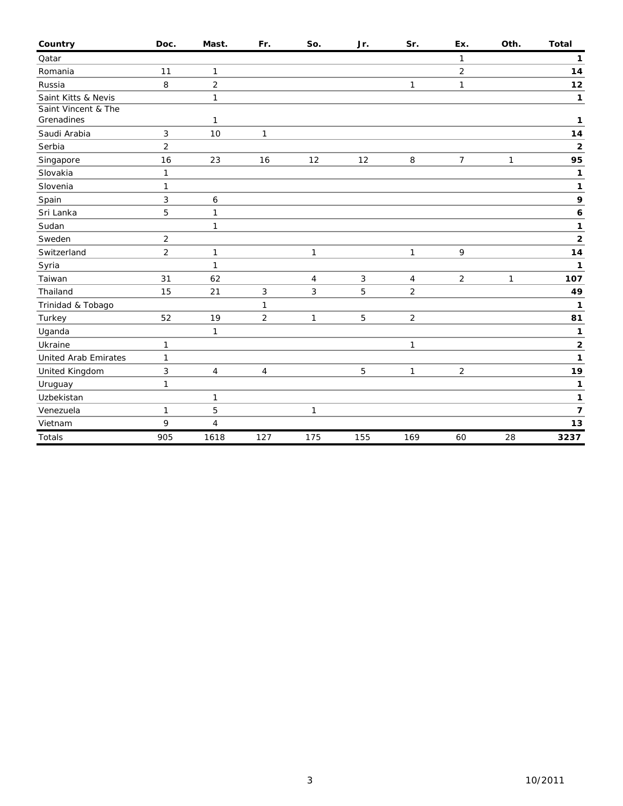| Country                     | Doc.           | Mast.          | Fr.            | So. | Jr.        | Sr.            | Ex.            | Oth.         | <b>Total</b>   |
|-----------------------------|----------------|----------------|----------------|-----|------------|----------------|----------------|--------------|----------------|
| Qatar                       |                |                |                |     |            |                | $\mathbf{1}$   |              | 1              |
| Romania                     | 11             | 1              |                |     |            |                | 2              |              | 14             |
| Russia                      | 8              | $\overline{2}$ |                |     |            | 1              | $\mathbf{1}$   |              | $12$           |
| Saint Kitts & Nevis         |                | 1              |                |     |            |                |                |              | 1              |
| Saint Vincent & The         |                |                |                |     |            |                |                |              |                |
| Grenadines                  |                | 1              |                |     |            |                |                |              | 1              |
| Saudi Arabia                | 3              | 10             | 1              |     |            |                |                |              | 14             |
| Serbia                      | $\overline{2}$ |                |                |     |            |                |                |              | $\mathbf 2$    |
| Singapore                   | 16             | 23             | 16             | 12  | 12         | $\,8\,$        | $\overline{7}$ | $\mathbf{1}$ | 95             |
| Slovakia                    | $\mathbf{1}$   |                |                |     |            |                |                |              | 1              |
| Slovenia                    | $\mathbf{1}$   |                |                |     |            |                |                |              | 1              |
| Spain                       | 3              | 6              |                |     |            |                |                |              | 9              |
| Sri Lanka                   | 5              | $\mathbf{1}$   |                |     |            |                |                |              | 6              |
| Sudan                       |                | 1              |                |     |            |                |                |              | 1              |
| Sweden                      | $\overline{2}$ |                |                |     |            |                |                |              | $\mathbf 2$    |
| Switzerland                 | $\overline{2}$ | 1              |                | 1   |            | $\mathbf{1}$   | 9              |              | 14             |
| Syria                       |                | $\mathbf{1}$   |                |     |            |                |                |              | 1              |
| Taiwan                      | 31             | 62             |                | 4   | $\sqrt{3}$ | 4              | $\overline{c}$ | 1            | 107            |
| Thailand                    | 15             | 21             | 3              | 3   | 5          | $\overline{2}$ |                |              | 49             |
| Trinidad & Tobago           |                |                | $\mathbf{1}$   |     |            |                |                |              | 1              |
| Turkey                      | 52             | 19             | $\overline{2}$ | 1   | 5          | $\sqrt{2}$     |                |              | 81             |
| Uganda                      |                | 1              |                |     |            |                |                |              | 1              |
| Ukraine                     | $\mathbf{1}$   |                |                |     |            | $\mathbf{1}$   |                |              | 2              |
| <b>United Arab Emirates</b> | $\mathbf{1}$   |                |                |     |            |                |                |              | 1              |
| United Kingdom              | 3              | $\overline{4}$ | 4              |     | 5          | 1              | $\overline{2}$ |              | 19             |
| Uruguay                     | $\mathbf{1}$   |                |                |     |            |                |                |              | 1              |
| Uzbekistan                  |                | 1              |                |     |            |                |                |              | 1              |
| Venezuela                   | $\mathbf{1}$   | 5              |                | 1   |            |                |                |              | $\overline{7}$ |
| Vietnam                     | 9              | 4              |                |     |            |                |                |              | 13             |
| Totals                      | 905            | 1618           | 127            | 175 | 155        | 169            | 60             | 28           | 3237           |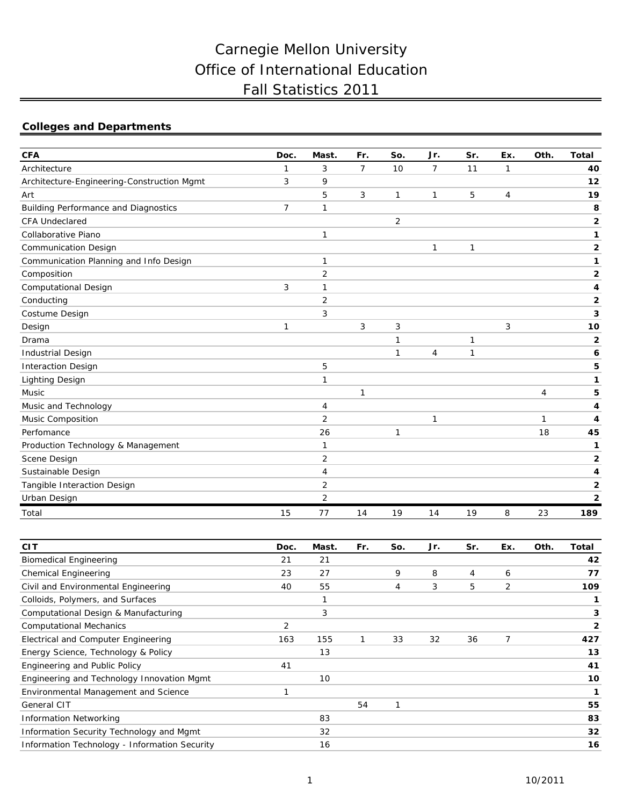# Carnegie Mellon University Office of International Education Fall Statistics 2011

# **Colleges and Departments**

| <b>CFA</b>                                  | Doc.         | Mast.          | Fr.            | So.            | Jr.            | Sr. | Ex.            | Oth.           | <b>Total</b>            |
|---------------------------------------------|--------------|----------------|----------------|----------------|----------------|-----|----------------|----------------|-------------------------|
| Architecture                                | $\mathbf{1}$ | 3              | $\overline{7}$ | 10             | $\overline{7}$ | 11  | $\mathbf{1}$   |                | 40                      |
| Architecture-Engineering-Construction Mgmt  | 3            | 9              |                |                |                |     |                |                | 12                      |
| Art                                         |              | 5              | 3              | $\mathbf{1}$   | $\mathbf{1}$   | 5   | $\overline{4}$ |                | 19                      |
| <b>Building Performance and Diagnostics</b> | 7            | 1              |                |                |                |     |                |                | 8                       |
| <b>CFA Undeclared</b>                       |              |                |                | $\overline{2}$ |                |     |                |                | $\overline{\mathbf{2}}$ |
| Collaborative Piano                         |              | 1              |                |                |                |     |                |                | 1                       |
| <b>Communication Design</b>                 |              |                |                |                | 1              | 1   |                |                | $\mathbf 2$             |
| Communication Planning and Info Design      |              | 1              |                |                |                |     |                |                | 1                       |
| Composition                                 |              | $\overline{2}$ |                |                |                |     |                |                | $\mathbf{2}$            |
| Computational Design                        | 3            | 1              |                |                |                |     |                |                | 4                       |
| Conducting                                  |              | $\overline{2}$ |                |                |                |     |                |                | 2                       |
| Costume Design                              |              | 3              |                |                |                |     |                |                | 3                       |
| Design                                      | $\mathbf{1}$ |                | 3              | 3              |                |     | 3              |                | 10                      |
| Drama                                       |              |                |                | 1              |                | 1   |                |                | $\overline{2}$          |
| <b>Industrial Design</b>                    |              |                |                | $\mathbf{1}$   | 4              | 1   |                |                | 6                       |
| <b>Interaction Design</b>                   |              | 5              |                |                |                |     |                |                | 5                       |
| <b>Lighting Design</b>                      |              | 1              |                |                |                |     |                |                | 1                       |
| Music                                       |              |                | 1              |                |                |     |                | $\overline{4}$ | 5                       |
| Music and Technology                        |              | 4              |                |                |                |     |                |                | 4                       |
| Music Composition                           |              | 2              |                |                | 1              |     |                | $\mathbf{1}$   | 4                       |
| Perfomance                                  |              | 26             |                | 1              |                |     |                | 18             | 45                      |
| Production Technology & Management          |              | 1              |                |                |                |     |                |                | 1                       |
| Scene Design                                |              | 2              |                |                |                |     |                |                | $\overline{\mathbf{2}}$ |
| Sustainable Design                          |              | 4              |                |                |                |     |                |                | 4                       |
| Tangible Interaction Design                 |              | $\overline{2}$ |                |                |                |     |                |                | $\overline{2}$          |
| Urban Design                                |              | $\overline{2}$ |                |                |                |     |                |                | $\overline{2}$          |
| Total                                       | 15           | 77             | 14             | 19             | 14             | 19  | 8              | 23             | 189                     |

| <b>CIT</b>                                    | Doc. | Mast. | Fr. | So. | Jr. | Sr. | Ex. | Oth. | Total        |
|-----------------------------------------------|------|-------|-----|-----|-----|-----|-----|------|--------------|
| <b>Biomedical Engineering</b>                 | 21   | 21    |     |     |     |     |     |      | 42           |
| <b>Chemical Engineering</b>                   | 23   | 27    |     | 9   | 8   | 4   | 6   |      | 77           |
| Civil and Environmental Engineering           | 40   | 55    |     | 4   | 3   | 5   | 2   |      | 109          |
| Colloids, Polymers, and Surfaces              |      |       |     |     |     |     |     |      |              |
| Computational Design & Manufacturing          |      | 3     |     |     |     |     |     |      | 3            |
| <b>Computational Mechanics</b>                | 2    |       |     |     |     |     |     |      | $\mathbf{2}$ |
| Electrical and Computer Engineering           | 163  | 155   |     | 33  | 32  | 36  | 7   |      | 427          |
| Energy Science, Technology & Policy           |      | 13    |     |     |     |     |     |      | 13           |
| Engineering and Public Policy                 | 41   |       |     |     |     |     |     |      | 41           |
| Engineering and Technology Innovation Mgmt    |      | 10    |     |     |     |     |     |      | 10           |
| Environmental Management and Science          |      |       |     |     |     |     |     |      |              |
| <b>General CIT</b>                            |      |       | 54  |     |     |     |     |      | 55           |
| <b>Information Networking</b>                 |      | 83    |     |     |     |     |     |      | 83           |
| Information Security Technology and Mgmt      |      | 32    |     |     |     |     |     |      | 32           |
| Information Technology - Information Security |      | 16    |     |     |     |     |     |      | 16           |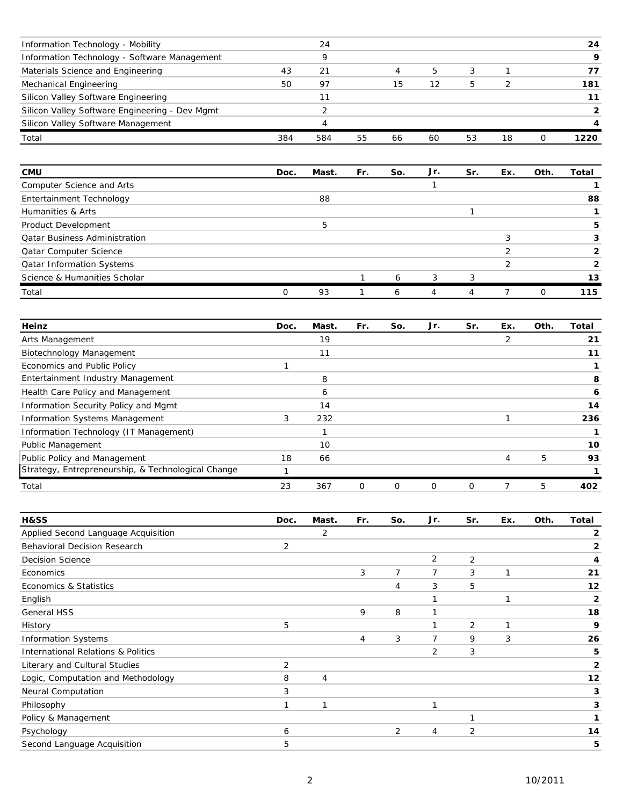| Information Technology - Mobility              |     | 24  |    |    |    |    |    | 24   |
|------------------------------------------------|-----|-----|----|----|----|----|----|------|
| Information Technology - Software Management   |     |     |    |    |    |    |    | Q    |
| Materials Science and Engineering              | 43  | 21  |    |    | b  |    |    |      |
| Mechanical Engineering                         | 50  | 97  |    | 15 | 12 | 5  |    | 181  |
| Silicon Valley Software Engineering            |     |     |    |    |    |    |    |      |
| Silicon Valley Software Engineering - Dev Mgmt |     |     |    |    |    |    |    |      |
| Silicon Valley Software Management             |     |     |    |    |    |    |    |      |
| Total                                          | 384 | 584 | 55 | 66 | 60 | 53 | 18 | 1220 |

| <b>CMU</b>                           | Doc. | Mast. | Fr. | So. | Jr. | Sr. | Ex. | Oth. | Total |
|--------------------------------------|------|-------|-----|-----|-----|-----|-----|------|-------|
| Computer Science and Arts            |      |       |     |     |     |     |     |      |       |
| Entertainment Technology             |      | 88    |     |     |     |     |     |      | 88    |
| Humanities & Arts                    |      |       |     |     |     |     |     |      |       |
| Product Development                  |      |       |     |     |     |     |     |      | 5     |
| <b>Qatar Business Administration</b> |      |       |     |     |     |     |     |      |       |
| Qatar Computer Science               |      |       |     |     |     |     |     |      |       |
| <b>Qatar Information Systems</b>     |      |       |     |     |     |     |     |      |       |
| Science & Humanities Scholar         |      |       |     | 6   | 3   | 3   |     |      | 13    |
| Total                                |      | 93    |     | 6   |     |     |     |      | 115   |

| Heinz                                              | Doc. | Mast. | Fr.      | So. | Jr.      | Sr. | Ex.            | Oth. | Total |
|----------------------------------------------------|------|-------|----------|-----|----------|-----|----------------|------|-------|
| Arts Management                                    |      | 19    |          |     |          |     | $\overline{2}$ |      | 21    |
| Biotechnology Management                           |      | 11    |          |     |          |     |                |      | 11    |
| Economics and Public Policy                        |      |       |          |     |          |     |                |      |       |
| Entertainment Industry Management                  |      | 8     |          |     |          |     |                |      | 8     |
| Health Care Policy and Management                  |      | 6     |          |     |          |     |                |      | 6     |
| Information Security Policy and Mgmt               |      | 14    |          |     |          |     |                |      | 14    |
| <b>Information Systems Management</b>              | 3    | 232   |          |     |          |     |                |      | 236   |
| Information Technology (IT Management)             |      |       |          |     |          |     |                |      |       |
| Public Management                                  |      | 10    |          |     |          |     |                |      | 10    |
| Public Policy and Management                       | 18   | 66    |          |     |          |     | 4              | 5    | 93    |
| Strategy, Entrepreneurship, & Technological Change |      |       |          |     |          |     |                |      |       |
| Total                                              | 23   | 367   | $\Omega$ | 0   | $\Omega$ | 0   |                | 5    | 402   |

| <b>H&amp;SS</b>                               | Doc.           | Mast. | Fr. | So. | Jr.            | Sr. | Ex. | Oth. | Total        |
|-----------------------------------------------|----------------|-------|-----|-----|----------------|-----|-----|------|--------------|
| Applied Second Language Acquisition           |                | 2     |     |     |                |     |     |      | 2            |
| <b>Behavioral Decision Research</b>           | 2              |       |     |     |                |     |     |      | 2            |
| <b>Decision Science</b>                       |                |       |     |     | $\overline{2}$ | 2   |     |      | 4            |
| Economics                                     |                |       | 3   | 7   | 7              | 3   | 1   |      | 21           |
| Economics & Statistics                        |                |       |     | 4   | 3              | 5   |     |      | 12           |
| English                                       |                |       |     |     |                |     | 1   |      | $\mathbf{2}$ |
| <b>General HSS</b>                            |                |       | 9   | 8   |                |     |     |      | 18           |
| History                                       | 5              |       |     |     |                | 2   | 1   |      | 9            |
| <b>Information Systems</b>                    |                |       | 4   | 3   | 7              | 9   | 3   |      | 26           |
| <b>International Relations &amp; Politics</b> |                |       |     |     | 2              | 3   |     |      | 5            |
| Literary and Cultural Studies                 | $\overline{2}$ |       |     |     |                |     |     |      | 2            |
| Logic, Computation and Methodology            | 8              | 4     |     |     |                |     |     |      | 12           |
| Neural Computation                            | 3              |       |     |     |                |     |     |      | 3            |
| Philosophy                                    | 1              | 1     |     |     | 1              |     |     |      | 3            |
| Policy & Management                           |                |       |     |     |                | ٠   |     |      |              |
| Psychology                                    | 6              |       |     | 2   | 4              | 2   |     |      | 14           |
| Second Language Acquisition                   | 5              |       |     |     |                |     |     |      | 5            |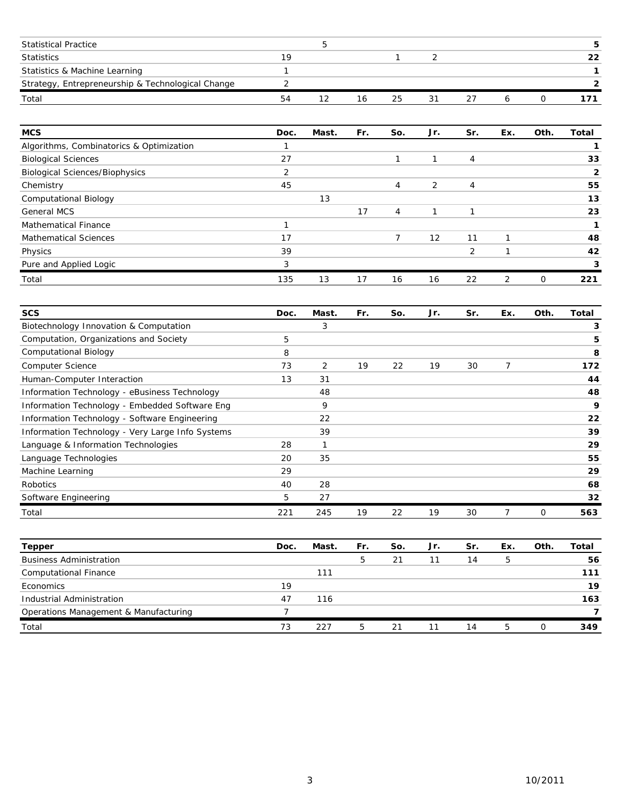| <b>Statistical Practice</b>                       |     |    |    |    |  |    |
|---------------------------------------------------|-----|----|----|----|--|----|
| <b>Statistics</b>                                 | 1 Q |    |    |    |  | 22 |
| Statistics & Machine Learning                     |     |    |    |    |  |    |
| Strategy, Entrepreneurship & Technological Change |     |    |    |    |  |    |
| Total                                             | 54  | 16 | 25 | 31 |  |    |

| <b>MCS</b>                               | Doc. | Mast. | Fr. | So.            | Jr. | Sr.           | Ex. | Oth. | Total |
|------------------------------------------|------|-------|-----|----------------|-----|---------------|-----|------|-------|
| Algorithms, Combinatorics & Optimization |      |       |     |                |     |               |     |      |       |
| <b>Biological Sciences</b>               | 27   |       |     |                |     | 4             |     |      | 33    |
| <b>Biological Sciences/Biophysics</b>    | 2    |       |     |                |     |               |     |      | 2     |
| Chemistry                                | 45   |       |     | 4              | 2   | 4             |     |      | 55    |
| <b>Computational Biology</b>             |      | 13    |     |                |     |               |     |      | 13    |
| <b>General MCS</b>                       |      |       | 17  | $\overline{4}$ |     |               |     |      | 23    |
| <b>Mathematical Finance</b>              |      |       |     |                |     |               |     |      |       |
| <b>Mathematical Sciences</b>             | 17   |       |     |                | 12  | 11            |     |      | 48    |
| Physics                                  | 39   |       |     |                |     | $\mathcal{P}$ |     |      | 42    |
| Pure and Applied Logic                   | 3    |       |     |                |     |               |     |      | 3     |
| Total                                    | 135  | 13    | 17  | 16             | 16  | 22            | 2   | 0    | 221   |

| <b>SCS</b>                                       | Doc. | Mast.          | Fr. | So. | Jr. | Sr. | Ex.            | Oth. | Total |
|--------------------------------------------------|------|----------------|-----|-----|-----|-----|----------------|------|-------|
| Biotechnology Innovation & Computation           |      | 3              |     |     |     |     |                |      | 3     |
| Computation, Organizations and Society           | 5    |                |     |     |     |     |                |      | 5     |
| <b>Computational Biology</b>                     | 8    |                |     |     |     |     |                |      | 8     |
| <b>Computer Science</b>                          | 73   | $\overline{2}$ | 19  | 22  | 19  | 30  | $\overline{7}$ |      | 172   |
| Human-Computer Interaction                       | 13   | 31             |     |     |     |     |                |      | 44    |
| Information Technology - eBusiness Technology    |      | 48             |     |     |     |     |                |      | 48    |
| Information Technology - Embedded Software Eng   |      | 9              |     |     |     |     |                |      | 9     |
| Information Technology - Software Engineering    |      | 22             |     |     |     |     |                |      | 22    |
| Information Technology - Very Large Info Systems |      | 39             |     |     |     |     |                |      | 39    |
| Language & Information Technologies              | 28   | 1              |     |     |     |     |                |      | 29    |
| Language Technologies                            | 20   | 35             |     |     |     |     |                |      | 55    |
| Machine Learning                                 | 29   |                |     |     |     |     |                |      | 29    |
| Robotics                                         | 40   | 28             |     |     |     |     |                |      | 68    |
| Software Engineering                             | 5    | 27             |     |     |     |     |                |      | 32    |
| Total                                            | 221  | 245            | 19  | 22  | 19  | 30  | 7              | 0    | 563   |

| Tepper                                | Doc. | Mast. | Fr. | So. | Jr. | Sr. | Ex. | Oth. | Total |
|---------------------------------------|------|-------|-----|-----|-----|-----|-----|------|-------|
| <b>Business Administration</b>        |      |       | 5.  | 21  | 11  | 14  | 5   |      | 56    |
| <b>Computational Finance</b>          |      | 111   |     |     |     |     |     |      | 111   |
| Economics                             | 19   |       |     |     |     |     |     |      | 19    |
| Industrial Administration             | 47   | 116   |     |     |     |     |     |      | 163   |
| Operations Management & Manufacturing |      |       |     |     |     |     |     |      | 7     |
| Total                                 | 73   | 227   | 5   | 21  | 11  | 14  | 5   |      | 349   |